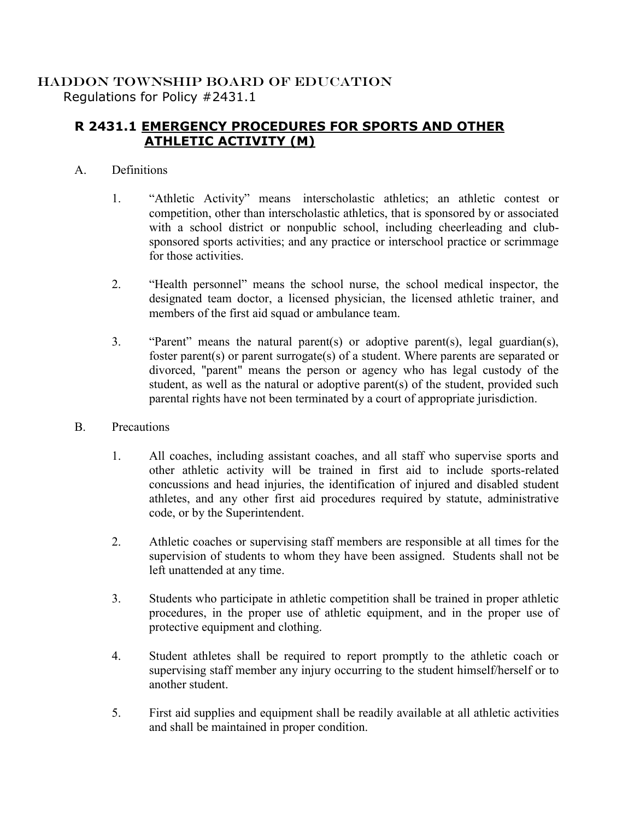## HADDON TOWNSHIP BOARD OF EDUCATION Regulations for Policy #2431.1

## **R 2431.1 EMERGENCY PROCEDURES FOR SPORTS AND OTHER ATHLETIC ACTIVITY (M)**

## A. Definitions

- 1. "Athletic Activity" means interscholastic athletics; an athletic contest or competition, other than interscholastic athletics, that is sponsored by or associated with a school district or nonpublic school, including cheerleading and clubsponsored sports activities; and any practice or interschool practice or scrimmage for those activities.
- 2. "Health personnel" means the school nurse, the school medical inspector, the designated team doctor, a licensed physician, the licensed athletic trainer, and members of the first aid squad or ambulance team.
- 3. "Parent" means the natural parent(s) or adoptive parent(s), legal guardian(s), foster parent(s) or parent surrogate(s) of a student. Where parents are separated or divorced, "parent" means the person or agency who has legal custody of the student, as well as the natural or adoptive parent(s) of the student, provided such parental rights have not been terminated by a court of appropriate jurisdiction.
- B. Precautions
	- 1. All coaches, including assistant coaches, and all staff who supervise sports and other athletic activity will be trained in first aid to include sports-related concussions and head injuries, the identification of injured and disabled student athletes, and any other first aid procedures required by statute, administrative code, or by the Superintendent.
	- 2. Athletic coaches or supervising staff members are responsible at all times for the supervision of students to whom they have been assigned. Students shall not be left unattended at any time.
	- 3. Students who participate in athletic competition shall be trained in proper athletic procedures, in the proper use of athletic equipment, and in the proper use of protective equipment and clothing.
	- 4. Student athletes shall be required to report promptly to the athletic coach or supervising staff member any injury occurring to the student himself/herself or to another student.
	- 5. First aid supplies and equipment shall be readily available at all athletic activities and shall be maintained in proper condition.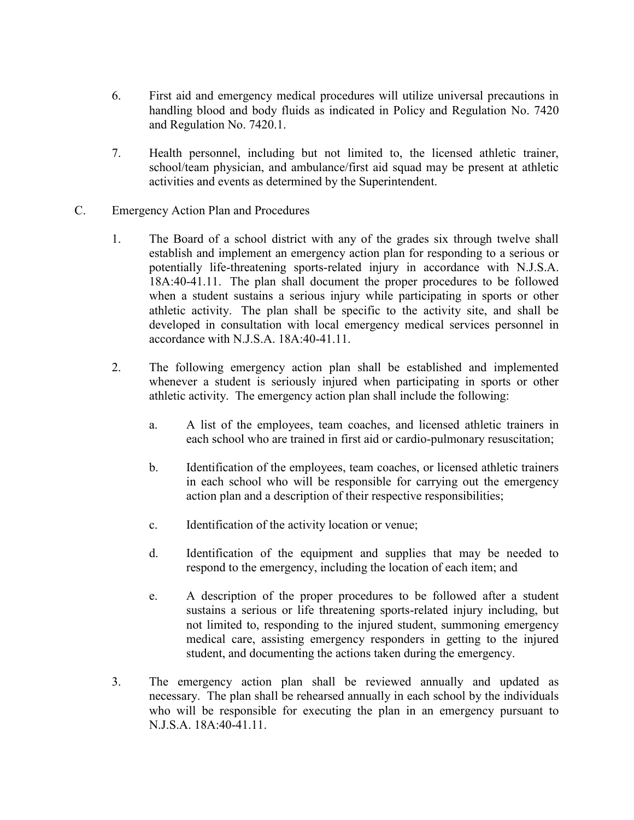- 6. First aid and emergency medical procedures will utilize universal precautions in handling blood and body fluids as indicated in Policy and Regulation No. 7420 and Regulation No. 7420.1.
- 7. Health personnel, including but not limited to, the licensed athletic trainer, school/team physician, and ambulance/first aid squad may be present at athletic activities and events as determined by the Superintendent.
- C. Emergency Action Plan and Procedures
	- 1. The Board of a school district with any of the grades six through twelve shall establish and implement an emergency action plan for responding to a serious or potentially life-threatening sports-related injury in accordance with N.J.S.A. 18A:40-41.11. The plan shall document the proper procedures to be followed when a student sustains a serious injury while participating in sports or other athletic activity. The plan shall be specific to the activity site, and shall be developed in consultation with local emergency medical services personnel in accordance with N.J.S.A. 18A:40-41.11.
	- 2. The following emergency action plan shall be established and implemented whenever a student is seriously injured when participating in sports or other athletic activity. The emergency action plan shall include the following:
		- a. A list of the employees, team coaches, and licensed athletic trainers in each school who are trained in first aid or cardio-pulmonary resuscitation;
		- b. Identification of the employees, team coaches, or licensed athletic trainers in each school who will be responsible for carrying out the emergency action plan and a description of their respective responsibilities;
		- c. Identification of the activity location or venue;
		- d. Identification of the equipment and supplies that may be needed to respond to the emergency, including the location of each item; and
		- e. A description of the proper procedures to be followed after a student sustains a serious or life threatening sports-related injury including, but not limited to, responding to the injured student, summoning emergency medical care, assisting emergency responders in getting to the injured student, and documenting the actions taken during the emergency.
	- 3. The emergency action plan shall be reviewed annually and updated as necessary. The plan shall be rehearsed annually in each school by the individuals who will be responsible for executing the plan in an emergency pursuant to N.J.S.A. 18A:40-41.11.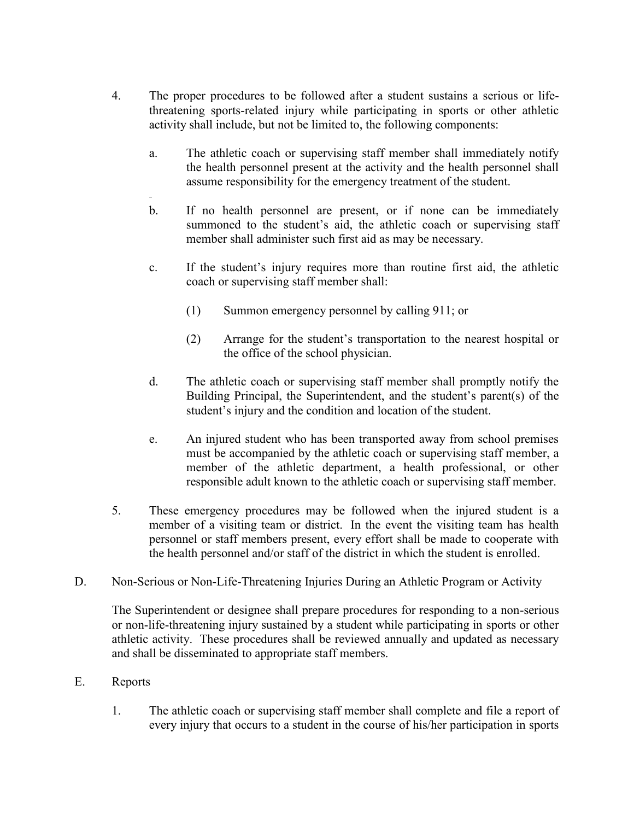- 4. The proper procedures to be followed after a student sustains a serious or lifethreatening sports-related injury while participating in sports or other athletic activity shall include, but not be limited to, the following components:
	- a. The athletic coach or supervising staff member shall immediately notify the health personnel present at the activity and the health personnel shall assume responsibility for the emergency treatment of the student.
	- b. If no health personnel are present, or if none can be immediately summoned to the student's aid, the athletic coach or supervising staff member shall administer such first aid as may be necessary.
	- c. If the student's injury requires more than routine first aid, the athletic coach or supervising staff member shall:
		- (1) Summon emergency personnel by calling 911; or
		- (2) Arrange for the student's transportation to the nearest hospital or the office of the school physician.
	- d. The athletic coach or supervising staff member shall promptly notify the Building Principal, the Superintendent, and the student's parent(s) of the student's injury and the condition and location of the student.
	- e. An injured student who has been transported away from school premises must be accompanied by the athletic coach or supervising staff member, a member of the athletic department, a health professional, or other responsible adult known to the athletic coach or supervising staff member.
- 5. These emergency procedures may be followed when the injured student is a member of a visiting team or district. In the event the visiting team has health personnel or staff members present, every effort shall be made to cooperate with the health personnel and/or staff of the district in which the student is enrolled.
- D. Non-Serious or Non-Life-Threatening Injuries During an Athletic Program or Activity

The Superintendent or designee shall prepare procedures for responding to a non-serious or non-life-threatening injury sustained by a student while participating in sports or other athletic activity. These procedures shall be reviewed annually and updated as necessary and shall be disseminated to appropriate staff members.

- E. Reports
	- 1. The athletic coach or supervising staff member shall complete and file a report of every injury that occurs to a student in the course of his/her participation in sports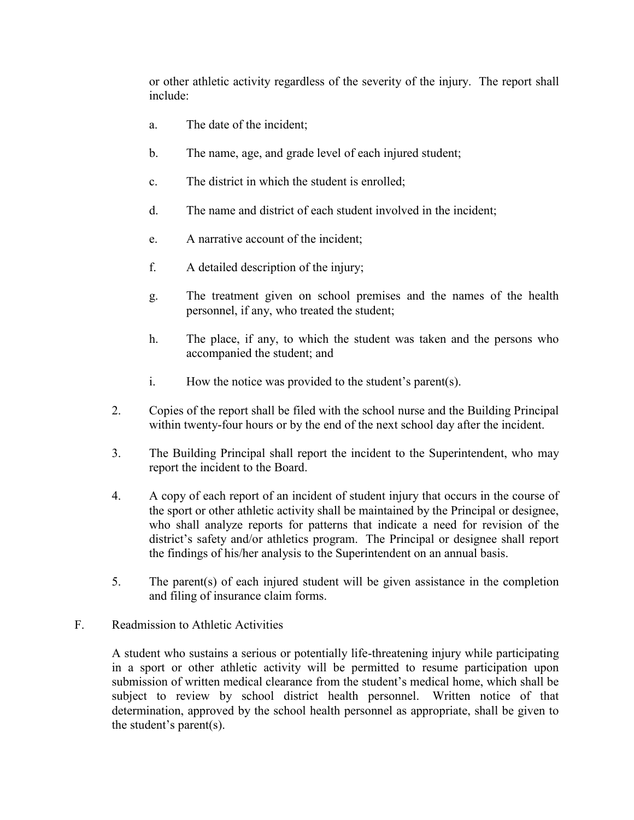or other athletic activity regardless of the severity of the injury. The report shall include:

- a. The date of the incident;
- b. The name, age, and grade level of each injured student;
- c. The district in which the student is enrolled;
- d. The name and district of each student involved in the incident;
- e. A narrative account of the incident;
- f. A detailed description of the injury;
- g. The treatment given on school premises and the names of the health personnel, if any, who treated the student;
- h. The place, if any, to which the student was taken and the persons who accompanied the student; and
- i. How the notice was provided to the student's parent(s).
- 2. Copies of the report shall be filed with the school nurse and the Building Principal within twenty-four hours or by the end of the next school day after the incident.
- 3. The Building Principal shall report the incident to the Superintendent, who may report the incident to the Board.
- 4. A copy of each report of an incident of student injury that occurs in the course of the sport or other athletic activity shall be maintained by the Principal or designee, who shall analyze reports for patterns that indicate a need for revision of the district's safety and/or athletics program. The Principal or designee shall report the findings of his/her analysis to the Superintendent on an annual basis.
- 5. The parent(s) of each injured student will be given assistance in the completion and filing of insurance claim forms.
- F. Readmission to Athletic Activities

A student who sustains a serious or potentially life-threatening injury while participating in a sport or other athletic activity will be permitted to resume participation upon submission of written medical clearance from the student's medical home, which shall be subject to review by school district health personnel. Written notice of that determination, approved by the school health personnel as appropriate, shall be given to the student's parent(s).